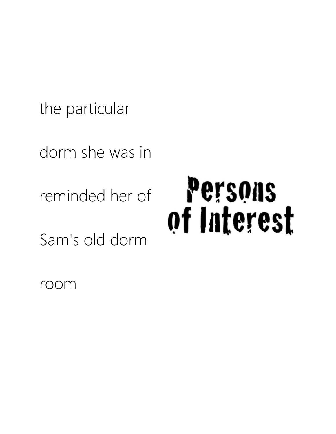the particular

dorm she was in

reminded her of

Sam's old dorm

## Persons of Interest

room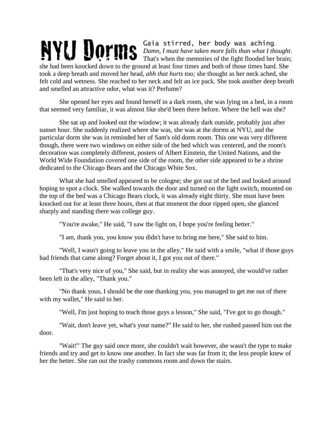## Gaia stirred, her body was aching. NYU Dorms *Damn, I must have taken more falls than what I thought*. That's when the memories of the fight flooded her brain;

she had been knocked down to the ground at least four times and both of those times hard. She took a deep breath and moved her head, *ahh that hurts too;* she thought as her neck ached, she felt cold and wetness. She reached to her neck and felt an ice pack. She took another deep breath and smelled an attractive odor, what was it? Perfume?

She opened her eyes and found herself in a dark room, she was lying on a bed, in a room that seemed very familiar, it was almost like she'd been there before. Where the hell was she?

She sat up and looked out the window; it was already dark outside, probably just after sunset hour. She suddenly realized where she was, she was at the dorms at NYU, and the particular dorm she was in reminded her of Sam's old dorm room. This one was very different though, there were two windows on either side of the bed which was centered, and the room's decoration was completely different, posters of Albert Einstein, the United Nations, and the World Wide Foundation covered one side of the room, the other side appeared to be a shrine dedicated to the Chicago Bears and the Chicago White Sox.

What she had smelled appeared to be cologne; she got out of the bed and looked around hoping to spot a clock. She walked towards the door and turned on the light switch, mounted on the top of the bed was a Chicago Bears clock, it was already eight thirty. She must have been knocked out for at least three hours, then at that moment the door ripped open, she glanced sharply and standing there was college guy.

"You're awake," He said, "I saw the light on, I hope you're feeling better."

"I am, thank you, you know you didn't have to bring me here," She said to him.

"Well, I wasn't going to leave you in the alley," He said with a smile, "what if those guys had friends that came along? Forget about it, I got you out of there."

"That's very nice of you," She said, but in reality she was annoyed, she would've rather been left in the alley, "Thank you."

"No thank yous, I should be the one thanking you, you managed to get me out of there with my wallet," He said to her.

"Well, I'm just hoping to teach those guys a lesson," She said, "I've got to go though."

"Wait, don't leave yet, what's your name?" He said to her, she rushed passed him out the door.

"Wait!" The guy said once more, she couldn't wait however, she wasn't the type to make friends and try and get to know one another. In fact she was far from it; the less people knew of her the better. She ran out the trashy commons room and down the stairs.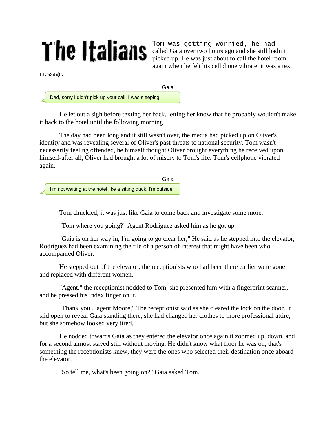## The Italians

Tom was getting worried, he had called Gaia over two hours ago and she still hadn't picked up. He was just about to call the hotel room again when he felt his cellphone vibrate, it was a text

message.

the pub, let me in.

Dad, sorry I didn't pick up your call, I was sleeping.

He let out a sigh before texting her back, letting her know that he probably wouldn't make it back to the hotel until the following morning.

Gaia

The day had been long and it still wasn't over, the media had picked up on Oliver's identity and was revealing several of Oliver's past threats to national security. Tom wasn't necessarily feeling offended, he himself thought Oliver brought everything he received upon himself-after all, Oliver had brought a lot of misery to Tom's life. Tom's cellphone vibrated again.

Gaia

I'm not waiting at the hotel like a sitting duck, I'm outside

Tom chuckled, it was just like Gaia to come back and investigate some more.

"Tom where you going?" Agent Rodriguez asked him as he got up.

"Gaia is on her way in, I'm going to go clear her," He said as he stepped into the elevator, Rodriguez had been examining the file of a person of interest that might have been who accompanied Oliver.

He stepped out of the elevator; the receptionists who had been there earlier were gone and replaced with different women.

"Agent," the receptionist nodded to Tom, she presented him with a fingerprint scanner, and he pressed his index finger on it.

"Thank you... agent Moore," The receptionist said as she cleared the lock on the door. It slid open to reveal Gaia standing there, she had changed her clothes to more professional attire, but she somehow looked very tired.

He nodded towards Gaia as they entered the elevator once again it zoomed up, down, and for a second almost stayed still without moving. He didn't know what floor he was on, that's something the receptionists knew, they were the ones who selected their destination once aboard the elevator.

"So tell me, what's been going on?" Gaia asked Tom.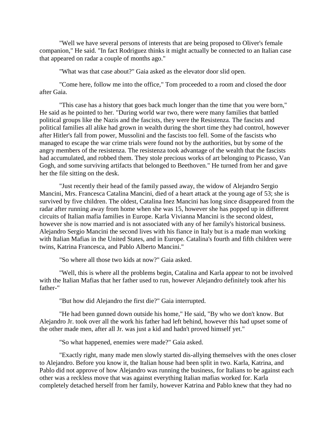"Well we have several persons of interests that are being proposed to Oliver's female companion," He said. "In fact Rodriguez thinks it might actually be connected to an Italian case that appeared on radar a couple of months ago."

"What was that case about?" Gaia asked as the elevator door slid open.

"Come here, follow me into the office," Tom proceeded to a room and closed the door after Gaia.

"This case has a history that goes back much longer than the time that you were born," He said as he pointed to her. "During world war two, there were many families that battled political groups like the Nazis and the fascists, they were the Resistenza. The fascists and political families all alike had grown in wealth during the short time they had control, however after Hitler's fall from power, Mussolini and the fascists too fell. Some of the fascists who managed to escape the war crime trials were found not by the authorities, but by some of the angry members of the resistenza. The resistenza took advantage of the wealth that the fascists had accumulated, and robbed them. They stole precious works of art belonging to Picasso, Van Gogh, and some surviving artifacts that belonged to Beethoven." He turned from her and gave her the file sitting on the desk.

"Just recently their head of the family passed away, the widow of Alejandro Sergio Mancini, Mrs. Francesca Catalina Mancini, died of a heart attack at the young age of 53; she is survived by five children. The oldest, Catalina Inez Mancini has long since disappeared from the radar after running away from home when she was 15, however she has popped up in different circuits of Italian mafia families in Europe. Karla Vivianna Mancini is the second oldest, however she is now married and is not associated with any of her family's historical business. Alejandro Sergio Mancini the second lives with his fiance in Italy but is a made man working with Italian Mafias in the United States, and in Europe. Catalina's fourth and fifth children were twins, Katrina Francesca, and Pablo Alberto Mancini."

"So where all those two kids at now?" Gaia asked.

"Well, this is where all the problems begin, Catalina and Karla appear to not be involved with the Italian Mafias that her father used to run, however Alejandro definitely took after his father-"

"But how did Alejandro the first die?" Gaia interrupted.

"He had been gunned down outside his home," He said, "By who we don't know. But Alejandro Jr. took over all the work his father had left behind, however this had upset some of the other made men, after all Jr. was just a kid and hadn't proved himself yet."

"So what happened, enemies were made?" Gaia asked.

"Exactly right, many made men slowly started dis-allying themselves with the ones closer to Alejandro. Before you know it, the Italian house had been split in two. Karla, Katrina, and Pablo did not approve of how Alejandro was running the business, for Italians to be against each other was a reckless move that was against everything Italian mafias worked for. Karla completely detached herself from her family, however Katrina and Pablo knew that they had no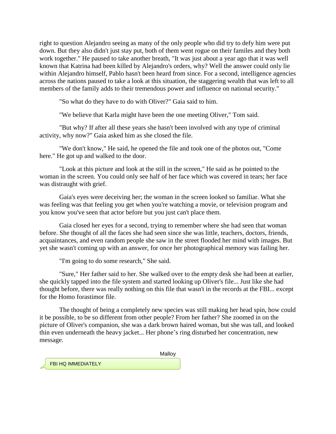right to question Alejandro seeing as many of the only people who did try to defy him were put down. But they also didn't just stay put, both of them went rogue on their familes and they both work together." He paused to take another breath, "It was just about a year ago that it was well known that Katrina had been killed by Alejandro's orders, why? Well the answer could only lie within Alejandro himself, Pablo hasn't been heard from since. For a second, intelligence agencies across the nations paused to take a look at this situation, the staggering wealth that was left to all members of the family adds to their tremendous power and influence on national security."

"So what do they have to do with Oliver?" Gaia said to him.

"We believe that Karla might have been the one meeting Oliver," Tom said.

"But why? If after all these years she hasn't been involved with any type of criminal activity, why now?" Gaia asked him as she closed the file.

"We don't know," He said, he opened the file and took one of the photos out, "Come here." He got up and walked to the door.

"Look at this picture and look at the still in the screen," He said as he pointed to the woman in the screen. You could only see half of her face which was covered in tears; her face was distraught with grief.

Gaia's eyes were deceiving her; the woman in the screen looked so familiar. What she was feeling was that feeling you get when you're watching a movie, or television program and you know you've seen that actor before but you just can't place them.

Gaia closed her eyes for a second, trying to remember where she had seen that woman before. She thought of all the faces she had seen since she was little, teachers, doctors, friends, acquaintances, and even random people she saw in the street flooded her mind with images. But yet she wasn't coming up with an answer, for once her photographical memory was failing her.

"I'm going to do some research," She said.

"Sure," Her father said to her. She walked over to the empty desk she had been at earlier, she quickly tapped into the file system and started looking up Oliver's file... Just like she had thought before, there was really nothing on this file that wasn't in the records at the FBI... except for the Homo forastimor file.

The thought of being a completely new species was still making her head spin, how could it be possible, to be so different from other people? From her father? She zoomed in on the picture of Oliver's companion, she was a dark brown haired woman, but she was tall, and looked thin even underneath the heavy jacket... Her phone's ring disturbed her concentration, new message.

Malloy

FBI HQ IMMEDIATELY